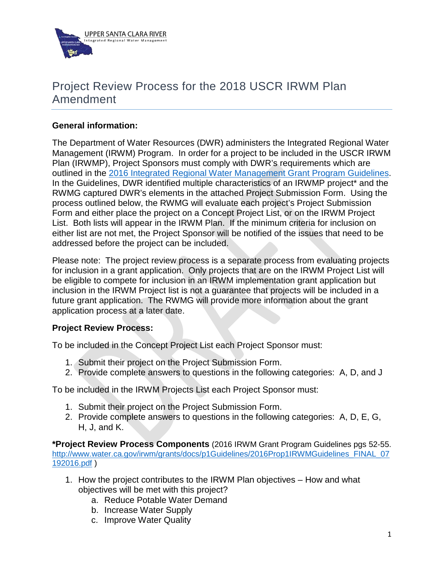

## Project Review Process for the 2018 USCR IRWM Plan Amendment

## **General information:**

The Department of Water Resources (DWR) administers the Integrated Regional Water Management (IRWM) Program. In order for a project to be included in the USCR IRWM Plan (IRWMP), Project Sponsors must comply with DWR's requirements which are outlined in the [2016 Integrated Regional Water Management Grant Program Guidelines.](http://abcrs.resources.ca.gov/guidelines/guideline_624.pdf) In the Guidelines, DWR identified multiple characteristics of an IRWMP project<sup>\*</sup> and the RWMG captured DWR's elements in the attached Project Submission Form. Using the process outlined below, the RWMG will evaluate each project's Project Submission Form and either place the project on a Concept Project List, or on the IRWM Project List. Both lists will appear in the IRWM Plan. If the minimum criteria for inclusion on either list are not met, the Project Sponsor will be notified of the issues that need to be addressed before the project can be included.

Please note: The project review process is a separate process from evaluating projects for inclusion in a grant application. Only projects that are on the IRWM Project List will be eligible to compete for inclusion in an IRWM implementation grant application but inclusion in the IRWM Project list is not a guarantee that projects will be included in a future grant application. The RWMG will provide more information about the grant application process at a later date.

## **Project Review Process:**

To be included in the Concept Project List each Project Sponsor must:

- 1. Submit their project on the Project Submission Form.
- 2. Provide complete answers to questions in the following categories: A, D, and J

To be included in the IRWM Projects List each Project Sponsor must:

- 1. Submit their project on the Project Submission Form.
- 2. Provide complete answers to questions in the following categories: A, D, E, G, H, J, and K.

**\*Project Review Process Components** (2016 IRWM Grant Program Guidelines pgs 52-55. [http://www.water.ca.gov/irwm/grants/docs/p1Guidelines/2016Prop1IRWMGuidelines\\_FINAL\\_07](http://www.water.ca.gov/irwm/grants/docs/p1Guidelines/2016Prop1IRWMGuidelines_FINAL_07192016.pdf) [192016.pdf](http://www.water.ca.gov/irwm/grants/docs/p1Guidelines/2016Prop1IRWMGuidelines_FINAL_07192016.pdf) )

- 1. How the project contributes to the IRWM Plan objectives How and what objectives will be met with this project?
	- a. Reduce Potable Water Demand
	- b. Increase Water Supply
	- c. Improve Water Quality